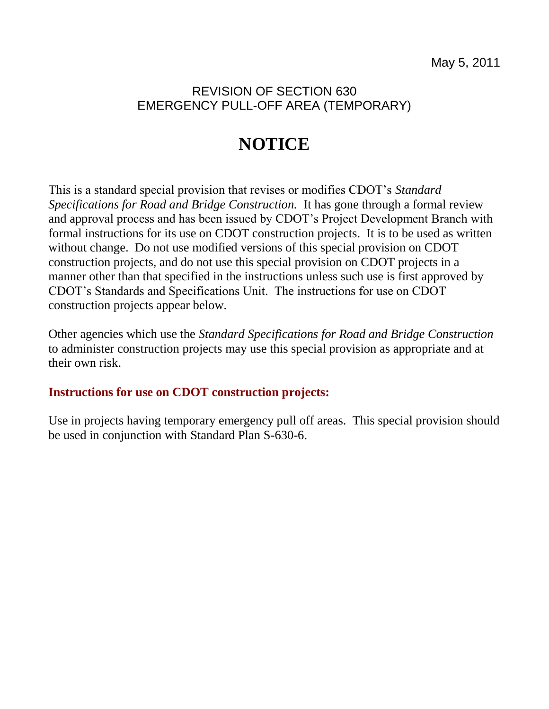May 5, 2011

## REVISION OF SECTION 630 EMERGENCY PULL-OFF AREA (TEMPORARY)

## **NOTICE**

This is a standard special provision that revises or modifies CDOT's *Standard Specifications for Road and Bridge Construction.* It has gone through a formal review and approval process and has been issued by CDOT's Project Development Branch with formal instructions for its use on CDOT construction projects. It is to be used as written without change. Do not use modified versions of this special provision on CDOT construction projects, and do not use this special provision on CDOT projects in a manner other than that specified in the instructions unless such use is first approved by CDOT's Standards and Specifications Unit. The instructions for use on CDOT construction projects appear below.

Other agencies which use the *Standard Specifications for Road and Bridge Construction* to administer construction projects may use this special provision as appropriate and at their own risk.

## **Instructions for use on CDOT construction projects:**

Use in projects having temporary emergency pull off areas. This special provision should be used in conjunction with Standard Plan S-630-6.